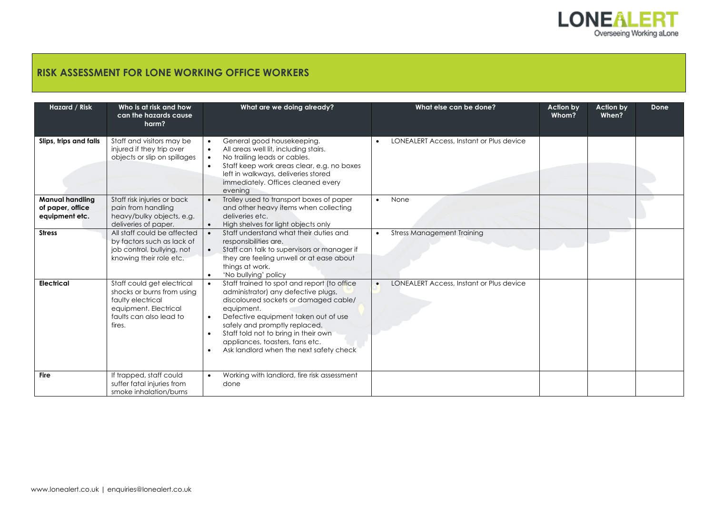

## **RISK ASSESSMENT FOR LONE WORKING OFFICE WORKERS**

| Hazard / Risk                                                | Who is at risk and how<br>can the hazards cause<br>harm?                                                                                    | What are we doing already?                                                                                                                                                                                                                                                                                                                                                      | What else can be done?                                | Action by<br>Whom? | Action by<br>When? | Done |
|--------------------------------------------------------------|---------------------------------------------------------------------------------------------------------------------------------------------|---------------------------------------------------------------------------------------------------------------------------------------------------------------------------------------------------------------------------------------------------------------------------------------------------------------------------------------------------------------------------------|-------------------------------------------------------|--------------------|--------------------|------|
| Slips, trips and falls                                       | Staff and visitors may be<br>injured if they trip over<br>objects or slip on spillages                                                      | General good housekeeping.<br>$\bullet$<br>All areas well lit, including stairs.<br>$\bullet$<br>No trailing leads or cables.<br>$\bullet$<br>Staff keep work areas clear, e.g. no boxes<br>$\bullet$<br>left in walkways, deliveries stored<br>immediately. Offices cleaned every<br>evening                                                                                   | LONEALERT Access, Instant or Plus device              |                    |                    |      |
| <b>Manual handling</b><br>of paper, office<br>equipment etc. | Staff risk injuries or back<br>pain from handling<br>heavy/bulky objects, e.g.<br>deliveries of paper.                                      | Trolley used to transport boxes of paper<br>$\bullet$<br>and other heavy items when collecting<br>deliveries etc.<br>High shelves for light objects only<br>$\bullet$                                                                                                                                                                                                           | None<br>$\bullet$                                     |                    |                    |      |
| <b>Stress</b>                                                | All staff could be affected<br>by factors such as lack of<br>job control, bullying, not<br>knowing their role etc.                          | Staff understand what their duties and<br>$\bullet$<br>responsibilities are.<br>Staff can talk to supervisors or manager if<br>$\bullet$<br>they are feeling unwell or at ease about<br>things at work.<br>'No bullying' policy<br>$\bullet$                                                                                                                                    | <b>Stress Management Training</b>                     |                    |                    |      |
| Electrical                                                   | Staff could get electrical<br>shocks or burns from using<br>faulty electrical<br>equipment. Electrical<br>faults can also lead to<br>fires. | Staff trained to spot and report (to office<br>$\bullet$<br>administrator) any defective plugs,<br>discoloured sockets or damaged cable/<br>equipment.<br>Defective equipment taken out of use<br>$\bullet$<br>safely and promptly replaced.<br>Staff told not to bring in their own<br>$\bullet$<br>appliances, toasters, fans etc.<br>Ask landlord when the next safety check | LONEALERT Access, Instant or Plus device<br>$\bullet$ |                    |                    |      |
| Fire                                                         | If trapped, staff could<br>suffer fatal injuries from<br>smoke inhalation/burns                                                             | Working with landlord, fire risk assessment<br>$\bullet$<br>done                                                                                                                                                                                                                                                                                                                |                                                       |                    |                    |      |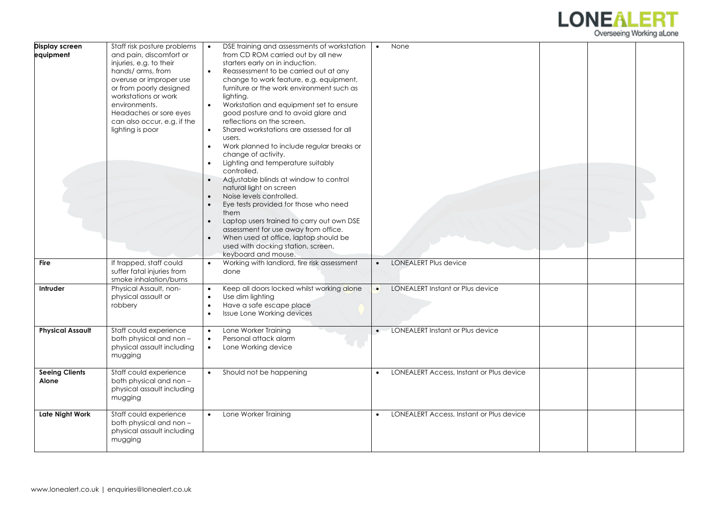

| Display screen<br>equipment           | Staff risk posture problems<br>and pain, discomfort or<br>injuries, e.g. to their<br>hands/ arms, from<br>overuse or improper use<br>or from poorly designed<br>workstations or work<br>environments.<br>Headaches or sore eyes<br>can also occur, e.g. if the<br>lighting is poor | DSE training and assessments of workstation<br>from CD ROM carried out by all new<br>starters early on in induction.<br>Reassessment to be carried out at any<br>$\bullet$<br>change to work feature, e.g. equipment,<br>furniture or the work environment such as<br>lighting.<br>$\bullet$<br>Workstation and equipment set to ensure<br>good posture and to avoid glare and<br>reflections on the screen.<br>Shared workstations are assessed for all<br>$\bullet$<br>users.<br>Work planned to include regular breaks or<br>$\bullet$<br>change of activity.<br>Lighting and temperature suitably<br>controlled.<br>Adjustable blinds at window to control<br>natural light on screen<br>Noise levels controlled.<br>$\bullet$<br>Eye tests provided for those who need<br>them<br>Laptop users trained to carry out own DSE<br>$\bullet$<br>assessment for use away from office.<br>When used at office, laptop should be<br>used with docking station, screen,<br>keyboard and mouse. | None<br>$\bullet$                                     |  |
|---------------------------------------|------------------------------------------------------------------------------------------------------------------------------------------------------------------------------------------------------------------------------------------------------------------------------------|---------------------------------------------------------------------------------------------------------------------------------------------------------------------------------------------------------------------------------------------------------------------------------------------------------------------------------------------------------------------------------------------------------------------------------------------------------------------------------------------------------------------------------------------------------------------------------------------------------------------------------------------------------------------------------------------------------------------------------------------------------------------------------------------------------------------------------------------------------------------------------------------------------------------------------------------------------------------------------------------|-------------------------------------------------------|--|
| <b>Fire</b>                           | If trapped, staff could<br>suffer fatal injuries from<br>smoke inhalation/burns                                                                                                                                                                                                    | Working with landlord, fire risk assessment<br>$\bullet$<br>done                                                                                                                                                                                                                                                                                                                                                                                                                                                                                                                                                                                                                                                                                                                                                                                                                                                                                                                            | <b>LONEALERT Plus device</b><br>$\bullet$             |  |
| Intruder                              | Physical Assault, non-<br>physical assault or<br>robbery                                                                                                                                                                                                                           | Keep all doors locked whilst working alone<br>$\bullet$<br>Use dim lighting<br>$\bullet$<br>Have a safe escape place<br>$\bullet$<br>Issue Lone Working devices<br>$\bullet$                                                                                                                                                                                                                                                                                                                                                                                                                                                                                                                                                                                                                                                                                                                                                                                                                | LONEALERT Instant or Plus device                      |  |
| <b>Physical Assault</b>               | Staff could experience<br>both physical and non -<br>physical assault including<br>mugging                                                                                                                                                                                         | Lone Worker Training<br>$\bullet$<br>Personal attack alarm<br>$\bullet$<br>Lone Working device<br>$\bullet$                                                                                                                                                                                                                                                                                                                                                                                                                                                                                                                                                                                                                                                                                                                                                                                                                                                                                 | LONEALERT Instant or Plus device                      |  |
| <b>Seeing Clients</b><br><b>Alone</b> | Staff could experience<br>both physical and non -<br>physical assault including<br>mugging                                                                                                                                                                                         | Should not be happening                                                                                                                                                                                                                                                                                                                                                                                                                                                                                                                                                                                                                                                                                                                                                                                                                                                                                                                                                                     | LONEALERT Access, Instant or Plus device<br>$\bullet$ |  |
| <b>Late Night Work</b>                | Staff could experience<br>both physical and non -<br>physical assault including<br>mugging                                                                                                                                                                                         | Lone Worker Training                                                                                                                                                                                                                                                                                                                                                                                                                                                                                                                                                                                                                                                                                                                                                                                                                                                                                                                                                                        | LONEALERT Access, Instant or Plus device              |  |